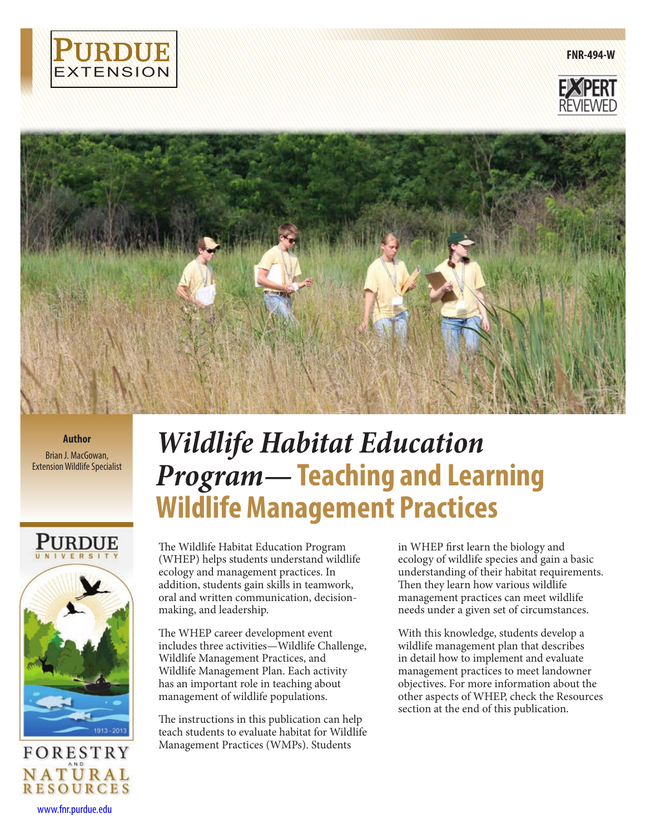

**FNR-494-W**





**Author** Brian J. MacGowan, Extension Wildlife Specialist



*Wildlife Habitat Education Program—***Teaching and Learning Wildlife Management Practices**

The Wildlife Habitat Education Program (WHEP) helps students understand wildlife ecology and management practices. In addition, students gain skills in teamwork, oral and written communication, decisionmaking, and leadership.

The WHEP career development event includes three activities—Wildlife Challenge, Wildlife Management Practices, and Wildlife Management Plan. Each activity has an important role in teaching about management of wildlife populations.

The instructions in this publication can help teach students to evaluate habitat for Wildlife Management Practices (WMPs). Students

in WHEP first learn the biology and ecology of wildlife species and gain a basic understanding of their habitat requirements. Then they learn how various wildlife management practices can meet wildlife needs under a given set of circumstances.

With this knowledge, students develop a wildlife management plan that describes in detail how to implement and evaluate management practices to meet landowner objectives. For more information about the other aspects of WHEP, check the Resources section at the end of this publication.

www.fnr.purdue.edu

**NATURAL**<br>RESOURCES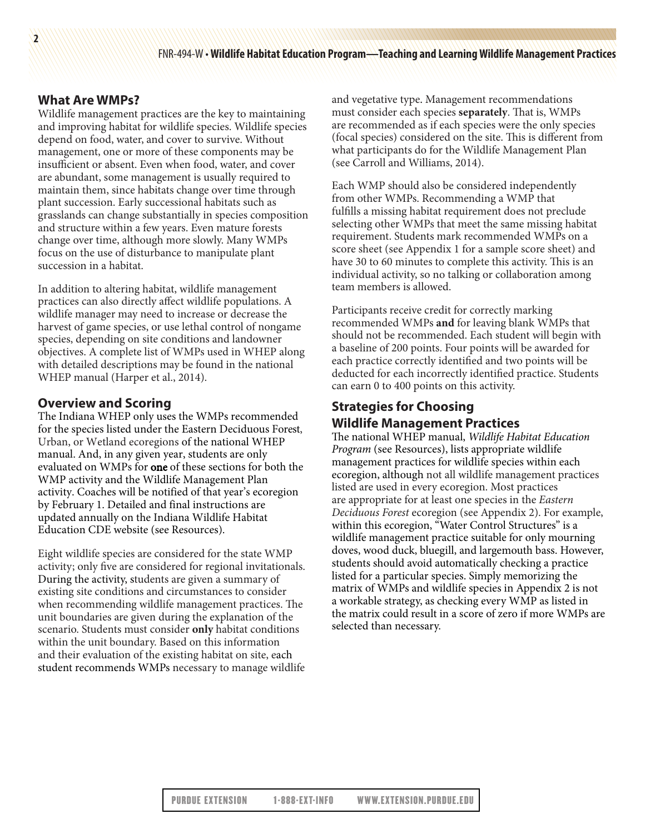# **What Are WMPs?**

**2**

Wildlife management practices are the key to maintaining and improving habitat for wildlife species. Wildlife species depend on food, water, and cover to survive. Without management, one or more of these components may be insufficient or absent. Even when food, water, and cover are abundant, some management is usually required to maintain them, since habitats change over time through plant succession. Early successional habitats such as grasslands can change substantially in species composition and structure within a few years. Even mature forests change over time, although more slowly. Many WMPs focus on the use of disturbance to manipulate plant succession in a habitat.

In addition to altering habitat, wildlife management practices can also directly affect wildlife populations. A wildlife manager may need to increase or decrease the harvest of game species, or use lethal control of nongame species, depending on site conditions and landowner objectives. A complete list of WMPs used in WHEP along with detailed descriptions may be found in the national WHEP manual (Harper et al., 2014).

## **Overview and Scoring**

The Indiana WHEP only uses the WMPs recommended for the species listed under the Eastern Deciduous Forest, Urban, or Wetland ecoregions of the national WHEP manual. And, in any given year, students are only evaluated on WMPs for one of these sections for both the WMP activity and the Wildlife Management Plan activity. Coaches will be notified of that year's ecoregion by February 1. Detailed and final instructions are updated annually on the Indiana Wildlife Habitat Education CDE website (see Resources).

Eight wildlife species are considered for the state WMP activity; only five are considered for regional invitationals. During the activity, students are given a summary of existing site conditions and circumstances to consider when recommending wildlife management practices. The unit boundaries are given during the explanation of the scenario. Students must consider **only** habitat conditions within the unit boundary. Based on this information and their evaluation of the existing habitat on site, each student recommends WMPs necessary to manage wildlife

and vegetative type. Management recommendations must consider each species **separately**. That is, WMPs are recommended as if each species were the only species (focal species) considered on the site. This is different from what participants do for the Wildlife Management Plan (see Carroll and Williams, 2014).

Each WMP should also be considered independently from other WMPs. Recommending a WMP that fulfills a missing habitat requirement does not preclude selecting other WMPs that meet the same missing habitat requirement. Students mark recommended WMPs on a score sheet (see Appendix 1 for a sample score sheet) and have 30 to 60 minutes to complete this activity. This is an individual activity, so no talking or collaboration among team members is allowed.

Participants receive credit for correctly marking recommended WMPs **and** for leaving blank WMPs that should not be recommended. Each student will begin with a baseline of 200 points. Four points will be awarded for each practice correctly identified and two points will be deducted for each incorrectly identified practice. Students can earn 0 to 400 points on this activity.

# **Strategies for Choosing Wildlife Management Practices**

The national WHEP manual, *Wildlife Habitat Education Program* (see Resources), lists appropriate wildlife management practices for wildlife species within each ecoregion, although not all wildlife management practices listed are used in every ecoregion. Most practices are appropriate for at least one species in the *Eastern Deciduous Forest* ecoregion (see Appendix 2). For example, within this ecoregion, "Water Control Structures" is a wildlife management practice suitable for only mourning doves, wood duck, bluegill, and largemouth bass. However, students should avoid automatically checking a practice listed for a particular species. Simply memorizing the matrix of WMPs and wildlife species in Appendix 2 is not a workable strategy, as checking every WMP as listed in the matrix could result in a score of zero if more WMPs are selected than necessary.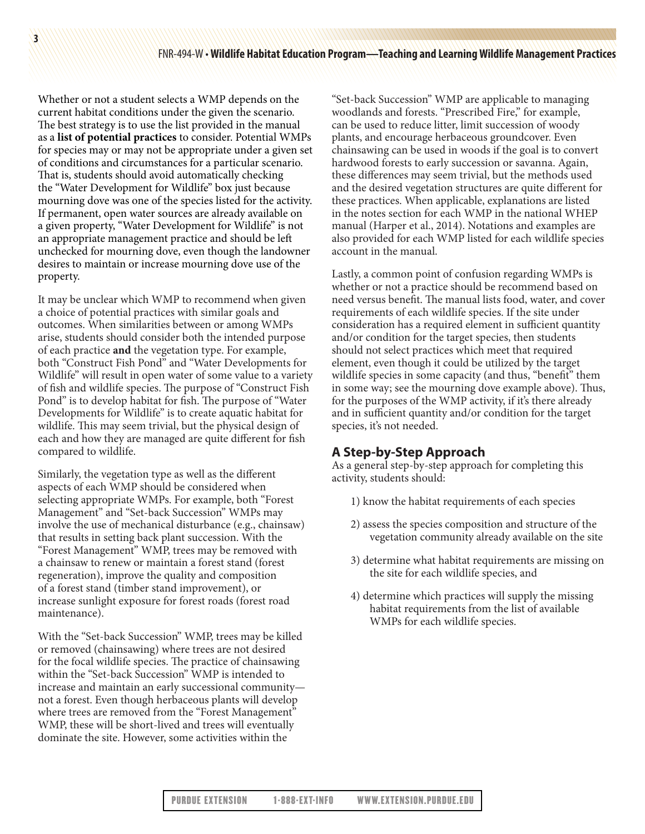Whether or not a student selects a WMP depends on the current habitat conditions under the given the scenario. The best strategy is to use the list provided in the manual as a **list of potential practices** to consider. Potential WMPs for species may or may not be appropriate under a given set of conditions and circumstances for a particular scenario. That is, students should avoid automatically checking the "Water Development for Wildlife" box just because mourning dove was one of the species listed for the activity. If permanent, open water sources are already available on a given property, "Water Development for Wildlife" is not an appropriate management practice and should be left unchecked for mourning dove, even though the landowner desires to maintain or increase mourning dove use of the property.

**3**

It may be unclear which WMP to recommend when given a choice of potential practices with similar goals and outcomes. When similarities between or among WMPs arise, students should consider both the intended purpose of each practice **and** the vegetation type. For example, both "Construct Fish Pond" and "Water Developments for Wildlife" will result in open water of some value to a variety of fish and wildlife species. The purpose of "Construct Fish Pond" is to develop habitat for fish. The purpose of "Water Developments for Wildlife" is to create aquatic habitat for wildlife. This may seem trivial, but the physical design of each and how they are managed are quite different for fish compared to wildlife.

Similarly, the vegetation type as well as the different aspects of each WMP should be considered when selecting appropriate WMPs. For example, both "Forest Management" and "Set-back Succession" WMPs may involve the use of mechanical disturbance (e.g., chainsaw) that results in setting back plant succession. With the "Forest Management" WMP, trees may be removed with a chainsaw to renew or maintain a forest stand (forest regeneration), improve the quality and composition of a forest stand (timber stand improvement), or increase sunlight exposure for forest roads (forest road maintenance).

With the "Set-back Succession" WMP, trees may be killed or removed (chainsawing) where trees are not desired for the focal wildlife species. The practice of chainsawing within the "Set-back Succession" WMP is intended to increase and maintain an early successional community not a forest. Even though herbaceous plants will develop where trees are removed from the "Forest Management" WMP, these will be short-lived and trees will eventually dominate the site. However, some activities within the

"Set-back Succession" WMP are applicable to managing woodlands and forests. "Prescribed Fire," for example, can be used to reduce litter, limit succession of woody plants, and encourage herbaceous groundcover. Even chainsawing can be used in woods if the goal is to convert hardwood forests to early succession or savanna. Again, these differences may seem trivial, but the methods used and the desired vegetation structures are quite different for these practices. When applicable, explanations are listed in the notes section for each WMP in the national WHEP manual (Harper et al., 2014). Notations and examples are also provided for each WMP listed for each wildlife species account in the manual.

Lastly, a common point of confusion regarding WMPs is whether or not a practice should be recommend based on need versus benefit. The manual lists food, water, and cover requirements of each wildlife species. If the site under consideration has a required element in sufficient quantity and/or condition for the target species, then students should not select practices which meet that required element, even though it could be utilized by the target wildlife species in some capacity (and thus, "benefit" them in some way; see the mourning dove example above). Thus, for the purposes of the WMP activity, if it's there already and in sufficient quantity and/or condition for the target species, it's not needed.

# **A Step-by-Step Approach**

As a general step-by-step approach for completing this activity, students should:

- 1) know the habitat requirements of each species
- 2) assess the species composition and structure of the vegetation community already available on the site
- 3) determine what habitat requirements are missing on the site for each wildlife species, and
- 4) determine which practices will supply the missing habitat requirements from the list of available WMPs for each wildlife species.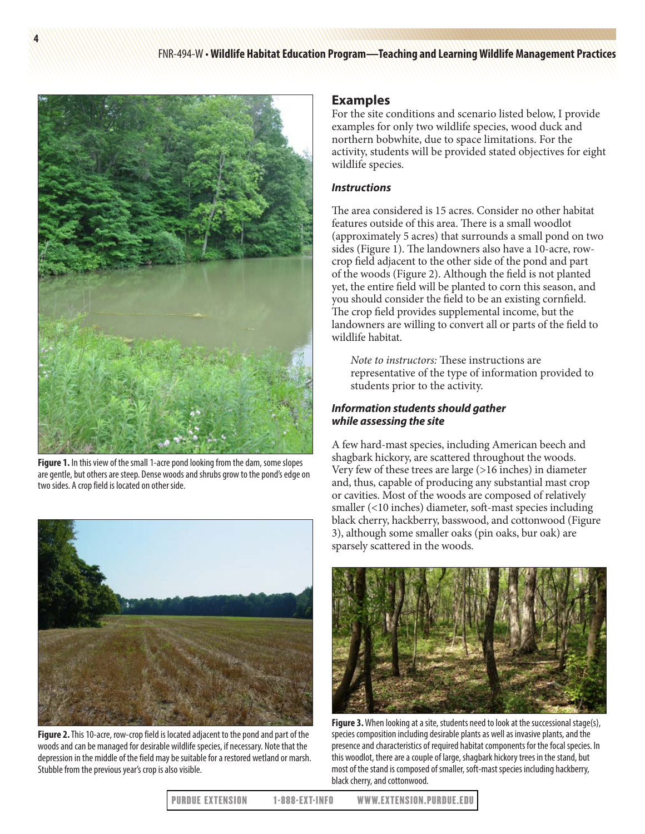FNR-494-W • **Wildlife Habitat Education Program—Teaching and Learning Wildlife Management Practices**



**Figure 1.** In this view of the small 1-acre pond looking from the dam, some slopes are gentle, but others are steep. Dense woods and shrubs grow to the pond's edge on two sides. A crop field is located on other side.



**Figure 2.** This 10-acre, row-crop field is located adjacent to the pond and part of the woods and can be managed for desirable wildlife species, if necessary. Note that the depression in the middle of the field may be suitable for a restored wetland or marsh. Stubble from the previous year's crop is also visible.

### **Examples**

For the site conditions and scenario listed below, I provide examples for only two wildlife species, wood duck and northern bobwhite, due to space limitations. For the activity, students will be provided stated objectives for eight wildlife species.

#### *Instructions*

The area considered is 15 acres. Consider no other habitat features outside of this area. There is a small woodlot (approximately 5 acres) that surrounds a small pond on two sides (Figure 1). The landowners also have a 10-acre, rowcrop field adjacent to the other side of the pond and part of the woods (Figure 2). Although the field is not planted yet, the entire field will be planted to corn this season, and you should consider the field to be an existing cornfield. The crop field provides supplemental income, but the landowners are willing to convert all or parts of the field to wildlife habitat.

*Note to instructors:* These instructions are representative of the type of information provided to students prior to the activity.

#### *Information students should gather while assessing the site*

A few hard-mast species, including American beech and shagbark hickory, are scattered throughout the woods. Very few of these trees are large (>16 inches) in diameter and, thus, capable of producing any substantial mast crop or cavities. Most of the woods are composed of relatively smaller (<10 inches) diameter, soft-mast species including black cherry, hackberry, basswood, and cottonwood (Figure 3), although some smaller oaks (pin oaks, bur oak) are sparsely scattered in the woods.



**Figure 3.** When looking at a site, students need to look at the successional stage(s), species composition including desirable plants as well as invasive plants, and the presence and characteristics of required habitat components for the focal species. In this woodlot, there are a couple of large, shagbark hickory trees in the stand, but most of the stand is composed of smaller, soft-mast species including hackberry, black cherry, and cottonwood.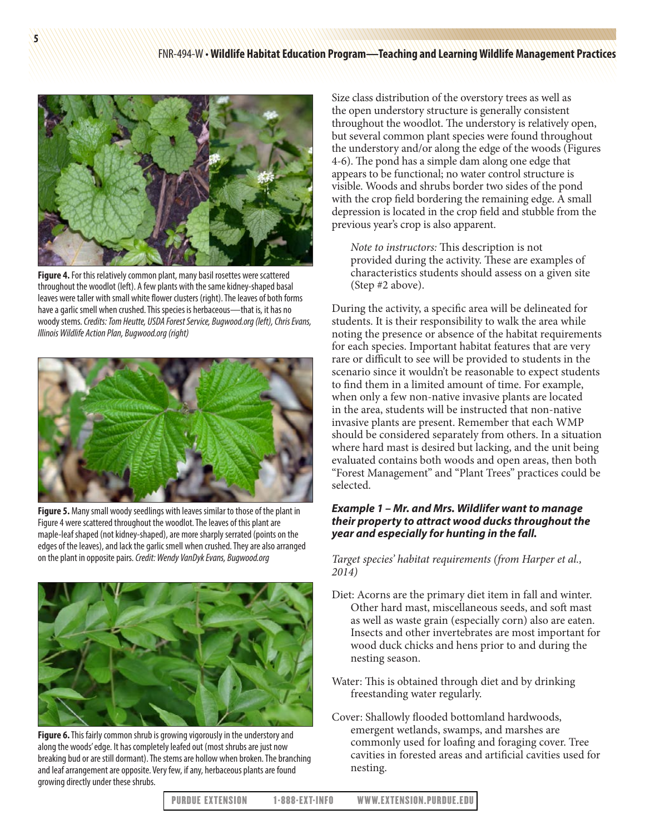

**Figure 4.** For this relatively common plant, many basil rosettes were scattered throughout the woodlot (left). A few plants with the same kidney-shaped basal leaves were taller with small white flower clusters (right). The leaves of both forms have a garlic smell when crushed. This species is herbaceous—that is, it has no woody stems. *Credits: Tom Heutte, USDA Forest Service, Bugwood.org (left), Chris Evans, Illinois Wildlife Action Plan, Bugwood.org (right)*



**Figure 5.** Many small woody seedlings with leaves similar to those of the plant in Figure 4 were scattered throughout the woodlot. The leaves of this plant are maple-leaf shaped (not kidney-shaped), are more sharply serrated (points on the edges of the leaves), and lack the garlic smell when crushed. They are also arranged on the plant in opposite pairs. *Credit: Wendy VanDyk Evans, Bugwood.org*



**Figure 6.** This fairly common shrub is growing vigorously in the understory and along the woods' edge. It has completely leafed out (most shrubs are just now breaking bud or are still dormant). The stems are hollow when broken. The branching and leaf arrangement are opposite. Very few, if any, herbaceous plants are found growing directly under these shrubs.

Size class distribution of the overstory trees as well as the open understory structure is generally consistent throughout the woodlot. The understory is relatively open, but several common plant species were found throughout the understory and/or along the edge of the woods (Figures 4-6). The pond has a simple dam along one edge that appears to be functional; no water control structure is visible. Woods and shrubs border two sides of the pond with the crop field bordering the remaining edge. A small depression is located in the crop field and stubble from the previous year's crop is also apparent.

*Note to instructors:* This description is not provided during the activity. These are examples of characteristics students should assess on a given site (Step #2 above).

During the activity, a specific area will be delineated for students. It is their responsibility to walk the area while noting the presence or absence of the habitat requirements for each species. Important habitat features that are very rare or difficult to see will be provided to students in the scenario since it wouldn't be reasonable to expect students to find them in a limited amount of time. For example, when only a few non-native invasive plants are located in the area, students will be instructed that non-native invasive plants are present. Remember that each WMP should be considered separately from others. In a situation where hard mast is desired but lacking, and the unit being evaluated contains both woods and open areas, then both "Forest Management" and "Plant Trees" practices could be selected.

### *Example 1 – Mr. and Mrs. Wildlifer want to manage their property to attract wood ducks throughout the year and especially for hunting in the fall.*

*Target species' habitat requirements (from Harper et al., 2014)*

- Diet: Acorns are the primary diet item in fall and winter. Other hard mast, miscellaneous seeds, and soft mast as well as waste grain (especially corn) also are eaten. Insects and other invertebrates are most important for wood duck chicks and hens prior to and during the nesting season.
- Water: This is obtained through diet and by drinking freestanding water regularly.
- Cover: Shallowly flooded bottomland hardwoods, emergent wetlands, swamps, and marshes are commonly used for loafing and foraging cover. Tree cavities in forested areas and artificial cavities used for nesting.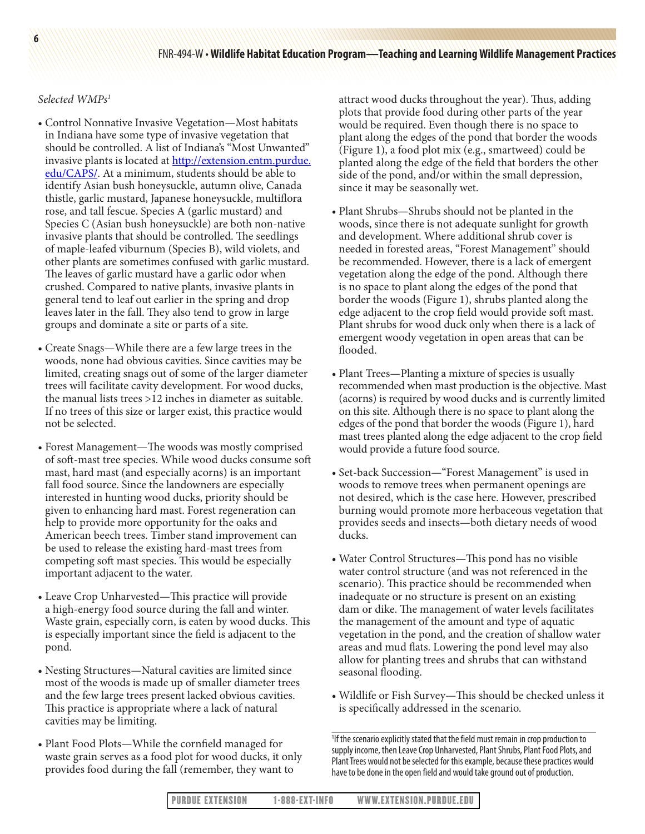#### *Selected WMPs1*

- Control Nonnative Invasive Vegetation—Most habitats in Indiana have some type of invasive vegetation that should be controlled. A list of Indiana's "Most Unwanted" invasive plants is located at [http://extension.entm.purdue.](http://extension.entm.purdue.edu/CAPS/) [edu/CAPS/.](http://extension.entm.purdue.edu/CAPS/) At a minimum, students should be able to identify Asian bush honeysuckle, autumn olive, Canada thistle, garlic mustard, Japanese honeysuckle, multiflora rose, and tall fescue. Species A (garlic mustard) and Species C (Asian bush honeysuckle) are both non-native invasive plants that should be controlled. The seedlings of maple-leafed viburnum (Species B), wild violets, and other plants are sometimes confused with garlic mustard. The leaves of garlic mustard have a garlic odor when crushed. Compared to native plants, invasive plants in general tend to leaf out earlier in the spring and drop leaves later in the fall. They also tend to grow in large groups and dominate a site or parts of a site.
- Create Snags—While there are a few large trees in the woods, none had obvious cavities. Since cavities may be limited, creating snags out of some of the larger diameter trees will facilitate cavity development. For wood ducks, the manual lists trees >12 inches in diameter as suitable. If no trees of this size or larger exist, this practice would not be selected.
- Forest Management—The woods was mostly comprised of soft-mast tree species. While wood ducks consume soft mast, hard mast (and especially acorns) is an important fall food source. Since the landowners are especially interested in hunting wood ducks, priority should be given to enhancing hard mast. Forest regeneration can help to provide more opportunity for the oaks and American beech trees. Timber stand improvement can be used to release the existing hard-mast trees from competing soft mast species. This would be especially important adjacent to the water.
- Leave Crop Unharvested—This practice will provide a high-energy food source during the fall and winter. Waste grain, especially corn, is eaten by wood ducks. This is especially important since the field is adjacent to the pond.
- Nesting Structures—Natural cavities are limited since most of the woods is made up of smaller diameter trees and the few large trees present lacked obvious cavities. This practice is appropriate where a lack of natural cavities may be limiting.
- Plant Food Plots—While the cornfield managed for waste grain serves as a food plot for wood ducks, it only provides food during the fall (remember, they want to

attract wood ducks throughout the year). Thus, adding plots that provide food during other parts of the year would be required. Even though there is no space to plant along the edges of the pond that border the woods (Figure 1), a food plot mix (e.g., smartweed) could be planted along the edge of the field that borders the other side of the pond, and/or within the small depression, since it may be seasonally wet.

- Plant Shrubs—Shrubs should not be planted in the woods, since there is not adequate sunlight for growth and development. Where additional shrub cover is needed in forested areas, "Forest Management" should be recommended. However, there is a lack of emergent vegetation along the edge of the pond. Although there is no space to plant along the edges of the pond that border the woods (Figure 1), shrubs planted along the edge adjacent to the crop field would provide soft mast. Plant shrubs for wood duck only when there is a lack of emergent woody vegetation in open areas that can be flooded.
- Plant Trees—Planting a mixture of species is usually recommended when mast production is the objective. Mast (acorns) is required by wood ducks and is currently limited on this site. Although there is no space to plant along the edges of the pond that border the woods (Figure 1), hard mast trees planted along the edge adjacent to the crop field would provide a future food source.
- Set-back Succession—"Forest Management" is used in woods to remove trees when permanent openings are not desired, which is the case here. However, prescribed burning would promote more herbaceous vegetation that provides seeds and insects—both dietary needs of wood ducks.
- Water Control Structures—This pond has no visible water control structure (and was not referenced in the scenario). This practice should be recommended when inadequate or no structure is present on an existing dam or dike. The management of water levels facilitates the management of the amount and type of aquatic vegetation in the pond, and the creation of shallow water areas and mud flats. Lowering the pond level may also allow for planting trees and shrubs that can withstand seasonal flooding.
- Wildlife or Fish Survey—This should be checked unless it is specifically addressed in the scenario.

<sup>1</sup> If the scenario explicitly stated that the field must remain in crop production to supply income, then Leave Crop Unharvested, Plant Shrubs, Plant Food Plots, and Plant Trees would not be selected for this example, because these practices would have to be done in the open field and would take ground out of production.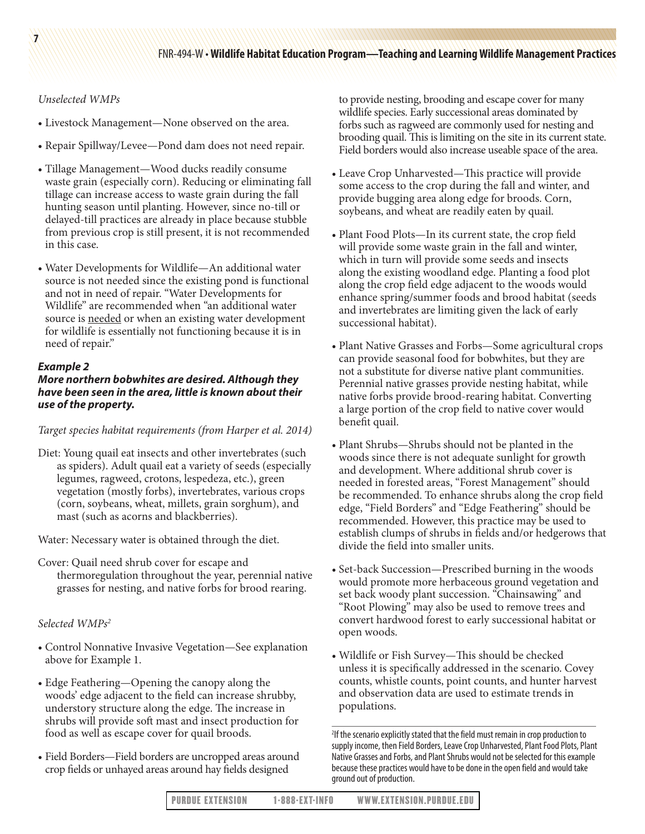*Unselected WMPs*

**7**

- Livestock Management—None observed on the area.
- Repair Spillway/Levee—Pond dam does not need repair.
- Tillage Management—Wood ducks readily consume waste grain (especially corn). Reducing or eliminating fall tillage can increase access to waste grain during the fall hunting season until planting. However, since no-till or delayed-till practices are already in place because stubble from previous crop is still present, it is not recommended in this case.
- Water Developments for Wildlife—An additional water source is not needed since the existing pond is functional and not in need of repair. "Water Developments for Wildlife" are recommended when "an additional water source is needed or when an existing water development for wildlife is essentially not functioning because it is in need of repair."

### *Example 2*

# *More northern bobwhites are desired. Although they have been seen in the area, little is known about their use of the property.*

#### *Target species habitat requirements (from Harper et al. 2014)*

Diet: Young quail eat insects and other invertebrates (such as spiders). Adult quail eat a variety of seeds (especially legumes, ragweed, crotons, lespedeza, etc.), green vegetation (mostly forbs), invertebrates, various crops (corn, soybeans, wheat, millets, grain sorghum), and mast (such as acorns and blackberries).

Water: Necessary water is obtained through the diet.

Cover: Quail need shrub cover for escape and thermoregulation throughout the year, perennial native grasses for nesting, and native forbs for brood rearing.

### *Selected WMPs2*

- Control Nonnative Invasive Vegetation—See explanation above for Example 1.
- Edge Feathering—Opening the canopy along the woods' edge adjacent to the field can increase shrubby, understory structure along the edge. The increase in shrubs will provide soft mast and insect production for food as well as escape cover for quail broods.
- Field Borders—Field borders are uncropped areas around crop fields or unhayed areas around hay fields designed

to provide nesting, brooding and escape cover for many wildlife species. Early successional areas dominated by forbs such as ragweed are commonly used for nesting and brooding quail. This is limiting on the site in its current state. Field borders would also increase useable space of the area.

- Leave Crop Unharvested—This practice will provide some access to the crop during the fall and winter, and provide bugging area along edge for broods. Corn, soybeans, and wheat are readily eaten by quail.
- Plant Food Plots—In its current state, the crop field will provide some waste grain in the fall and winter, which in turn will provide some seeds and insects along the existing woodland edge. Planting a food plot along the crop field edge adjacent to the woods would enhance spring/summer foods and brood habitat (seeds and invertebrates are limiting given the lack of early successional habitat).
- Plant Native Grasses and Forbs—Some agricultural crops can provide seasonal food for bobwhites, but they are not a substitute for diverse native plant communities. Perennial native grasses provide nesting habitat, while native forbs provide brood-rearing habitat. Converting a large portion of the crop field to native cover would benefit quail.
- Plant Shrubs—Shrubs should not be planted in the woods since there is not adequate sunlight for growth and development. Where additional shrub cover is needed in forested areas, "Forest Management" should be recommended. To enhance shrubs along the crop field edge, "Field Borders" and "Edge Feathering" should be recommended. However, this practice may be used to establish clumps of shrubs in fields and/or hedgerows that divide the field into smaller units.
- Set-back Succession—Prescribed burning in the woods would promote more herbaceous ground vegetation and set back woody plant succession. "Chainsawing" and "Root Plowing" may also be used to remove trees and convert hardwood forest to early successional habitat or open woods.
- Wildlife or Fish Survey—This should be checked unless it is specifically addressed in the scenario. Covey counts, whistle counts, point counts, and hunter harvest and observation data are used to estimate trends in populations.

<sup>&</sup>lt;sup>2</sup>If the scenario explicitly stated that the field must remain in crop production to supply income, then Field Borders, Leave Crop Unharvested, Plant Food Plots, Plant Native Grasses and Forbs, and Plant Shrubs would not be selected for this example because these practices would have to be done in the open field and would take ground out of production.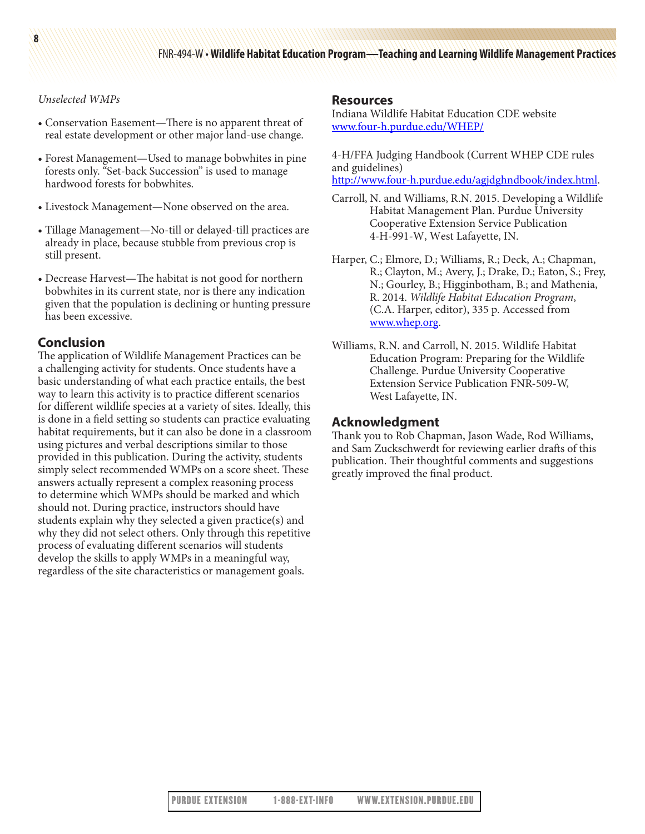### *Unselected WMPs*

- Conservation Easement—There is no apparent threat of real estate development or other major land-use change.
- Forest Management—Used to manage bobwhites in pine forests only. "Set-back Succession" is used to manage hardwood forests for bobwhites.
- Livestock Management—None observed on the area.
- Tillage Management—No-till or delayed-till practices are already in place, because stubble from previous crop is still present.
- Decrease Harvest—The habitat is not good for northern bobwhites in its current state, nor is there any indication given that the population is declining or hunting pressure has been excessive.

## **Conclusion**

The application of Wildlife Management Practices can be a challenging activity for students. Once students have a basic understanding of what each practice entails, the best way to learn this activity is to practice different scenarios for different wildlife species at a variety of sites. Ideally, this is done in a field setting so students can practice evaluating habitat requirements, but it can also be done in a classroom using pictures and verbal descriptions similar to those provided in this publication. During the activity, students simply select recommended WMPs on a score sheet. These answers actually represent a complex reasoning process to determine which WMPs should be marked and which should not. During practice, instructors should have students explain why they selected a given practice(s) and why they did not select others. Only through this repetitive process of evaluating different scenarios will students develop the skills to apply WMPs in a meaningful way, regardless of the site characteristics or management goals.

#### **Resources**

Indiana Wildlife Habitat Education CDE website [www.four-h.purdue.edu/WHEP/](http://www.four-h.purdue.edu/WHEP/)

4-H/FFA Judging Handbook (Current WHEP CDE rules and guidelines)

<http://www.four-h.purdue.edu/agjdghndbook/index.html>.

- Carroll, N. and Williams, R.N. 2015. Developing a Wildlife Habitat Management Plan. Purdue University Cooperative Extension Service Publication 4-H-991-W, West Lafayette, IN.
- Harper, C.; Elmore, D.; Williams, R.; Deck, A.; Chapman, R.; Clayton, M.; Avery, J.; Drake, D.; Eaton, S.; Frey, N.; Gourley, B.; Higginbotham, B.; and Mathenia, R. 2014. *Wildlife Habitat Education Program*, (C.A. Harper, editor), 335 p. Accessed from [www.whep.org](http://www.whep.org).
- Williams, R.N. and Carroll, N. 2015. Wildlife Habitat Education Program: Preparing for the Wildlife Challenge. Purdue University Cooperative Extension Service Publication FNR-509-W, West Lafayette, IN.

# **Acknowledgment**

Thank you to Rob Chapman, Jason Wade, Rod Williams, and Sam Zuckschwerdt for reviewing earlier drafts of this publication. Their thoughtful comments and suggestions greatly improved the final product.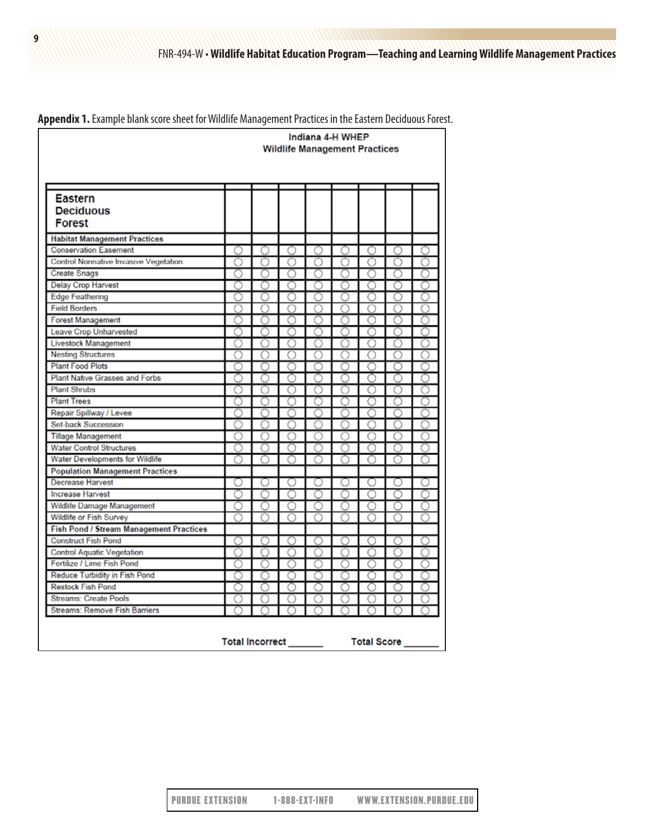|                                                |       | Indiana 4-H WHEP<br><b>Wildlife Management Practices</b> |            |                                             |   |       |    |    |  |  |  |  |  |
|------------------------------------------------|-------|----------------------------------------------------------|------------|---------------------------------------------|---|-------|----|----|--|--|--|--|--|
|                                                |       |                                                          |            |                                             |   |       |    |    |  |  |  |  |  |
| <b>Eastern</b>                                 |       |                                                          |            |                                             |   |       |    |    |  |  |  |  |  |
| <b>Deciduous</b>                               |       |                                                          |            |                                             |   |       |    |    |  |  |  |  |  |
| <b>Forest</b>                                  |       |                                                          |            |                                             |   |       |    |    |  |  |  |  |  |
| <b>Habitat Management Practices</b>            |       |                                                          |            |                                             |   |       |    |    |  |  |  |  |  |
| <b>Conservation Easement</b>                   | $($ ) | O                                                        | $\bigcirc$ | $\bigcirc$                                  | O | $($ ) | ∩  | () |  |  |  |  |  |
| <b>Control Nonnative Invasive Vegetation</b>   | ∩     | O                                                        | ∩          | O                                           |   | O     | 0  | 0  |  |  |  |  |  |
| <b>Create Snags</b>                            | ∩     | ∩                                                        | ∩          | C                                           |   | С     |    |    |  |  |  |  |  |
| <b>Delay Crop Harvest</b>                      |       | ∩                                                        |            |                                             |   |       |    |    |  |  |  |  |  |
| <b>Edge Feathering</b>                         | O     | ⊖                                                        | 7          | Ω                                           |   | ⊖     | 63 |    |  |  |  |  |  |
| <b>Field Borders</b>                           | ∩     | C                                                        |            |                                             |   |       |    |    |  |  |  |  |  |
| <b>Forest Management</b>                       |       | O                                                        |            |                                             |   |       | С  |    |  |  |  |  |  |
| Leave Crop Unharvested                         | ∩     | ∩                                                        | n          | ∩                                           |   | ◯     |    |    |  |  |  |  |  |
| <b>Livestock Management</b>                    | ∩     | ∩                                                        | ∩          | ∩                                           |   | ∩     | Ω  | ∩  |  |  |  |  |  |
| <b>Nesting Structures</b>                      | ∩     | ∩                                                        | ∩          | ◯                                           |   | ∩     | ∩  | ∩  |  |  |  |  |  |
| <b>Plant Food Plots</b>                        |       |                                                          |            |                                             |   |       |    |    |  |  |  |  |  |
| <b>Plant Native Grasses and Forbs</b>          |       |                                                          |            |                                             |   |       |    |    |  |  |  |  |  |
| <b>Plant Shrubs</b>                            | Ω     | $\left(\begin{array}{c} \end{array}\right)$              |            | ◠                                           |   | ⊖     | O  |    |  |  |  |  |  |
| <b>Plant Trees</b>                             | ∩     | €                                                        |            |                                             |   | ⊂     |    |    |  |  |  |  |  |
| Repair Spillway / Levee                        |       |                                                          |            |                                             |   |       |    |    |  |  |  |  |  |
| <b>Set-back Succession</b>                     | ∩     | ∩                                                        | ∩          | ∩                                           | ⌒ | ∩     | ∩  | ∩  |  |  |  |  |  |
| <b>Tillage Management</b>                      | ∩     | ∩                                                        | ∩          | O                                           | ◠ | ∩     | ∩  | ∩  |  |  |  |  |  |
| <b>Water Control Structures</b>                | ◯     | ◯                                                        | ∩          | O                                           |   | ◯     | O  | O  |  |  |  |  |  |
| Water Developments for Wildlife                |       |                                                          |            |                                             |   |       |    |    |  |  |  |  |  |
| <b>Population Management Practices</b>         |       |                                                          |            |                                             |   |       |    |    |  |  |  |  |  |
| <b>Decrease Harvest</b>                        |       | O                                                        |            |                                             |   |       |    |    |  |  |  |  |  |
| <b>Increase Harvest</b>                        | ∩     | ∩                                                        | ∩          | ∩                                           |   | C     |    |    |  |  |  |  |  |
| Wildlife Damage Management                     | ◯     | $\bigcirc$                                               | ()         | $\left(\begin{array}{c} \end{array}\right)$ |   | O     |    | () |  |  |  |  |  |
| Wildlife or Fish Survey                        | ∩     | ∩                                                        | ∩          | ∩                                           | ∩ | ∩     | ∩  |    |  |  |  |  |  |
| <b>Fish Pond / Stream Management Practices</b> |       |                                                          |            |                                             |   |       |    |    |  |  |  |  |  |
| <b>Construct Fish Pond</b>                     | ◯     | ∩                                                        | ∩          | ◯                                           | ∩ | ∩     | ∩  | ∩  |  |  |  |  |  |
| <b>Control Aquatic Vegetation</b>              | ∩     | ∩                                                        | ∩          | ∩                                           | ∩ | ∩     | ∩  |    |  |  |  |  |  |
| Fertilize / Lime Fish Pond                     |       | ∩                                                        |            |                                             |   |       |    |    |  |  |  |  |  |
| <b>Reduce Turbidity in Fish Pond</b>           | ∩     | ∩                                                        | ∩          | ∩                                           |   | ◯     | ∩  |    |  |  |  |  |  |
| <b>Restock Fish Pond</b>                       | ∩     | ∩                                                        | ∩          | ∩                                           | ∩ | ∩     | ∩  | ∩  |  |  |  |  |  |
| <b>Streams: Create Pools</b>                   | O     | O                                                        | O          | O                                           | ◯ | O     | Ω  | Ω  |  |  |  |  |  |
| Streams: Remove Fish Barriers                  |       |                                                          |            |                                             |   |       |    |    |  |  |  |  |  |

**Appendix 1.** Example blank score sheet for Wildlife Management Practices in the Eastern Deciduous Forest.